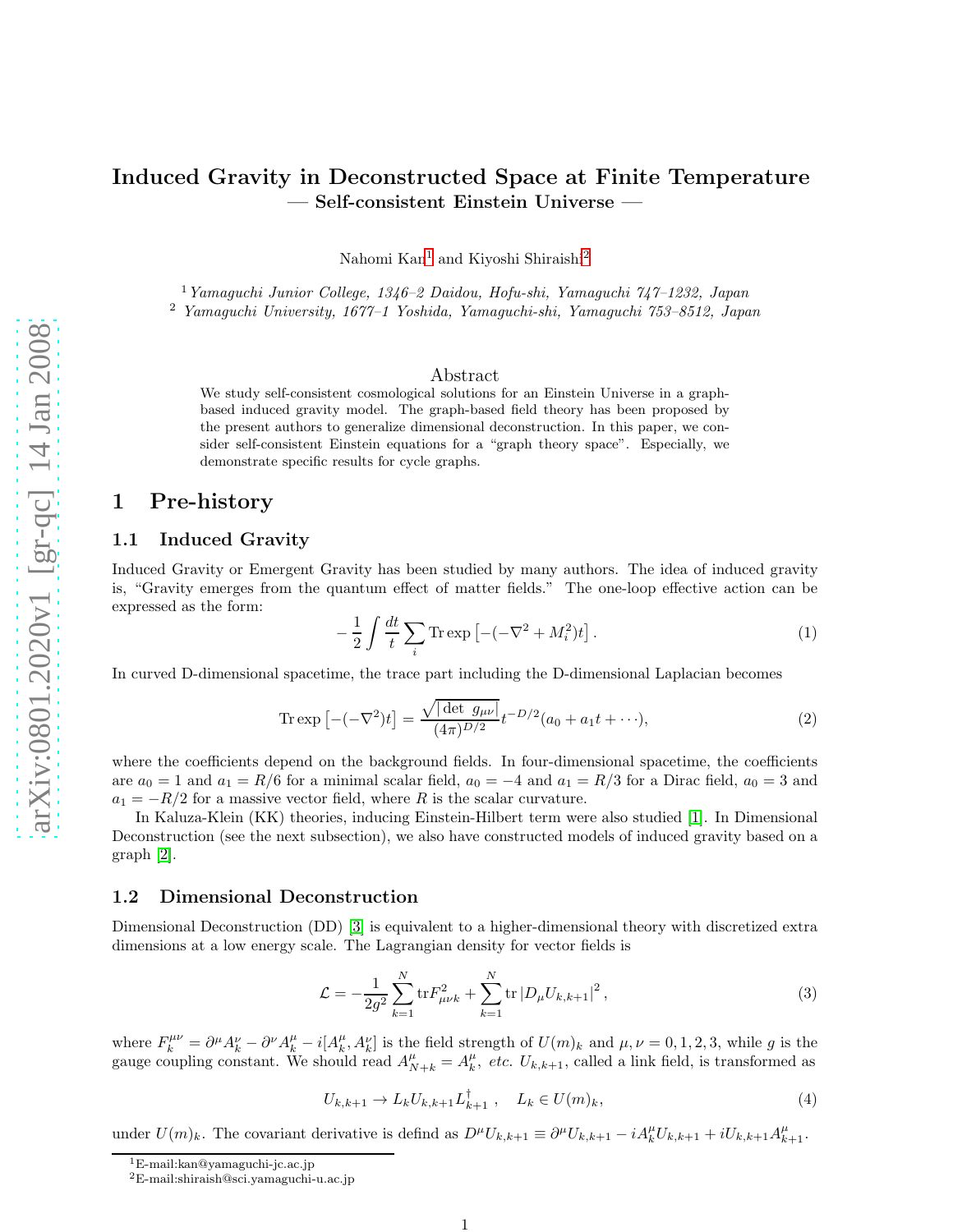# Induced Gravity in Deconstructed Space at Finite Temperature — Self-consistent Einstein Universe —

Nahomi Kan [1](#page-0-0) and Kiyoshi Shiraishi [2](#page-0-1)

<sup>1</sup>Yamaguchi Junior College, 1346–2 Daidou, Hofu-shi, Yamaguchi 747–1232, Japan

<sup>2</sup> Yamaguchi University, 1677–1 Yoshida, Yamaguchi-shi, Yamaguchi 753–8512, Japan

#### Abstract

We study self-consistent cosmological solutions for an Einstein Universe in a graphbased induced gravity model. The graph-based field theory has been proposed by the present authors to generalize dimensional deconstruction. In this paper, we consider self-consistent Einstein equations for a "graph theory space". Especially, we demonstrate specific results for cycle graphs.

## 1 Pre-history

### 1.1 Induced Gravity

Induced Gravity or Emergent Gravity has been studied by many authors. The idea of induced gravity is, "Gravity emerges from the quantum effect of matter fields." The one-loop effective action can be expressed as the form:

$$
-\frac{1}{2}\int \frac{dt}{t} \sum_{i} \text{Tr} \exp\left[-(-\nabla^2 + M_i^2)t\right].\tag{1}
$$

In curved D-dimensional spacetime, the trace part including the D-dimensional Laplacian becomes

$$
\text{Tr}\exp\left[-(-\nabla^2)t\right] = \frac{\sqrt{|\det g_{\mu\nu}|}}{(4\pi)^{D/2}} t^{-D/2} (a_0 + a_1 t + \cdots),\tag{2}
$$

where the coefficients depend on the background fields. In four-dimensional spacetime, the coefficients are  $a_0 = 1$  and  $a_1 = R/6$  for a minimal scalar field,  $a_0 = -4$  and  $a_1 = R/3$  for a Dirac field,  $a_0 = 3$  and  $a_1 = -R/2$  for a massive vector field, where R is the scalar curvature.

In Kaluza-Klein (KK) theories, inducing Einstein-Hilbert term were also studied [\[1\]](#page-3-0). In Dimensional Deconstruction (see the next subsection), we also have constructed models of induced gravity based on a graph [\[2\]](#page-3-1).

#### 1.2 Dimensional Deconstruction

Dimensional Deconstruction (DD) [\[3\]](#page-3-2) is equivalent to a higher-dimensional theory with discretized extra dimensions at a low energy scale. The Lagrangian density for vector fields is

$$
\mathcal{L} = -\frac{1}{2g^2} \sum_{k=1}^{N} \text{tr} F_{\mu\nu k}^2 + \sum_{k=1}^{N} \text{tr} |D_{\mu} U_{k,k+1}|^2, \qquad (3)
$$

where  $F_k^{\mu\nu} = \partial^{\mu} A_k^{\nu} - \partial^{\nu} A_k^{\mu} - i [A_k^{\mu}, A_k^{\nu}]$  is the field strength of  $U(m)_k$  and  $\mu, \nu = 0, 1, 2, 3$ , while g is the gauge coupling constant. We should read  $A_{N+k}^{\mu} = A_k^{\mu}$ , etc.  $U_{k,k+1}$ , called a link field, is transformed as

<span id="page-0-2"></span>
$$
U_{k,k+1} \to L_k U_{k,k+1} L_{k+1}^{\dagger} , \quad L_k \in U(m)_k,
$$
\n
$$
(4)
$$

under  $U(m)_k$ . The covariant derivative is defind as  $D^{\mu}U_{k,k+1} \equiv \partial^{\mu}U_{k,k+1} - iA_k^{\mu}U_{k,k+1} + iU_{k,k+1}A_{k+1}^{\mu}$ .

<span id="page-0-1"></span><span id="page-0-0"></span>

<sup>&</sup>lt;sup>1</sup>E-mail:kan@yamaguchi-jc.ac.jp<br><sup>2</sup>E-mail:shiraish@sci.yamaguchi-u.ac.jp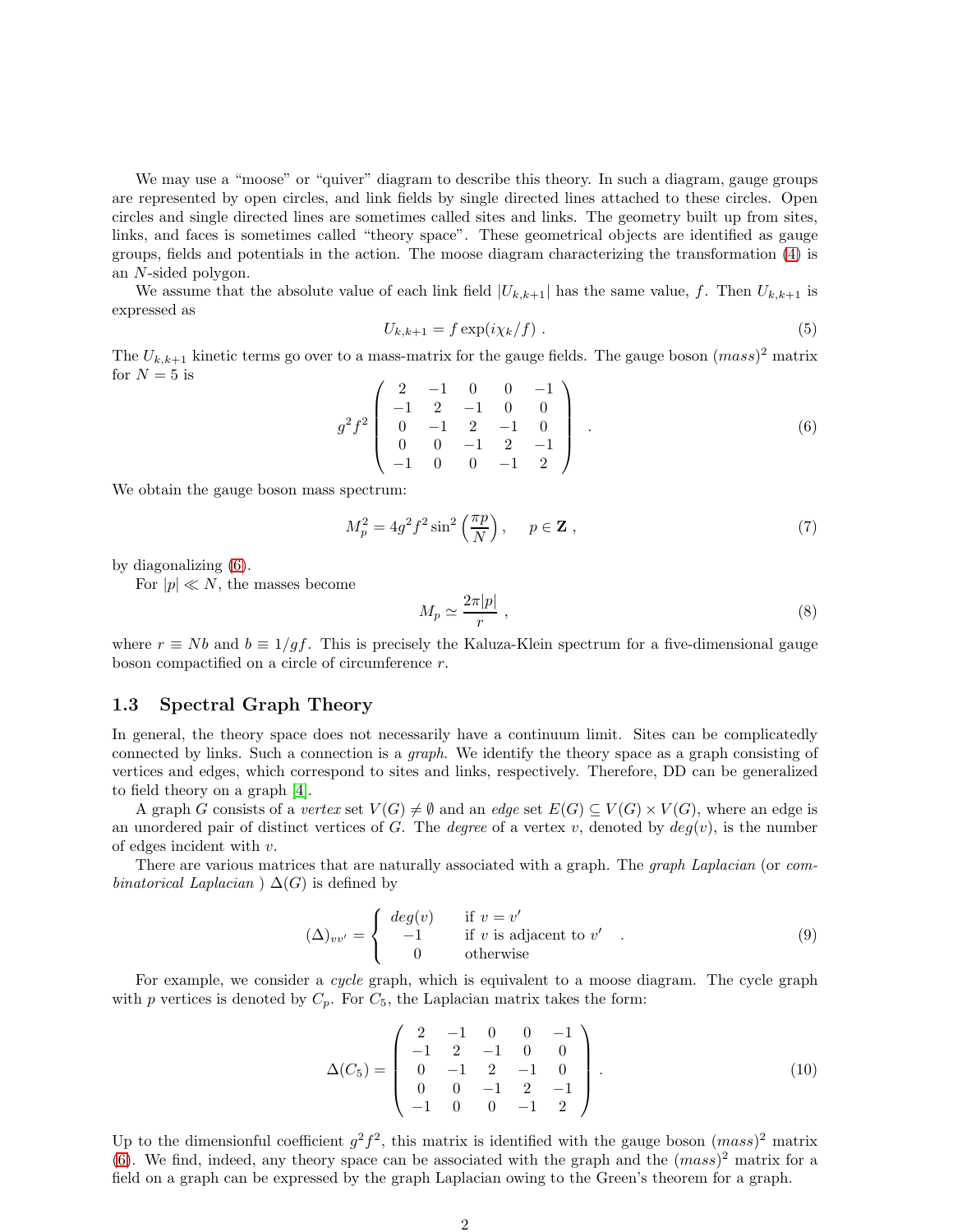We may use a "moose" or "quiver" diagram to describe this theory. In such a diagram, gauge groups are represented by open circles, and link fields by single directed lines attached to these circles. Open circles and single directed lines are sometimes called sites and links. The geometry built up from sites, links, and faces is sometimes called "theory space". These geometrical objects are identified as gauge groups, fields and potentials in the action. The moose diagram characterizing the transformation [\(4\)](#page-0-2) is an N-sided polygon.

We assume that the absolute value of each link field  $|U_{k,k+1}|$  has the same value, f. Then  $U_{k,k+1}$  is expressed as

$$
U_{k,k+1} = f \exp(i\chi_k/f) \tag{5}
$$

The  $U_{k,k+1}$  kinetic terms go over to a mass-matrix for the gauge fields. The gauge boson  $(mass)^2$  matrix for  $N = 5$  is

<span id="page-1-0"></span>
$$
g^{2}f^{2}\begin{pmatrix} 2 & -1 & 0 & 0 & -1 \\ -1 & 2 & -1 & 0 & 0 \\ 0 & -1 & 2 & -1 & 0 \\ 0 & 0 & -1 & 2 & -1 \\ -1 & 0 & 0 & -1 & 2 \end{pmatrix} . \tag{6}
$$

We obtain the gauge boson mass spectrum:

$$
M_p^2 = 4g^2 f^2 \sin^2\left(\frac{\pi p}{N}\right), \quad p \in \mathbf{Z}, \qquad (7)
$$

by diagonalizing [\(6\)](#page-1-0).

For  $|p| \ll N$ , the masses become

$$
M_p \simeq \frac{2\pi|p|}{r} \;, \tag{8}
$$

where  $r \equiv Nb$  and  $b \equiv 1/qf$ . This is precisely the Kaluza-Klein spectrum for a five-dimensional gauge boson compactified on a circle of circumference  $r$ .

#### 1.3 Spectral Graph Theory

In general, the theory space does not necessarily have a continuum limit. Sites can be complicatedly connected by links. Such a connection is a graph. We identify the theory space as a graph consisting of vertices and edges, which correspond to sites and links, respectively. Therefore, DD can be generalized to field theory on a graph [\[4\]](#page-3-3).

A graph G consists of a vertex set  $V(G) \neq \emptyset$  and an edge set  $E(G) \subseteq V(G) \times V(G)$ , where an edge is an unordered pair of distinct vertices of G. The *degree* of a vertex v, denoted by  $deg(v)$ , is the number of edges incident with v.

There are various matrices that are naturally associated with a graph. The *graph Laplacian* (or combinatorical Laplacian  $\Delta(G)$  is defined by

$$
(\Delta)_{vv'} = \begin{cases} \deg(v) & \text{if } v = v' \\ -1 & \text{if } v \text{ is adjacent to } v' \\ 0 & \text{otherwise} \end{cases}
$$
 (9)

For example, we consider a *cycle* graph, which is equivalent to a moose diagram. The cycle graph with p vertices is denoted by  $C_p$ . For  $C_5$ , the Laplacian matrix takes the form:

$$
\Delta(C_5) = \begin{pmatrix} 2 & -1 & 0 & 0 & -1 \\ -1 & 2 & -1 & 0 & 0 \\ 0 & -1 & 2 & -1 & 0 \\ 0 & 0 & -1 & 2 & -1 \\ -1 & 0 & 0 & -1 & 2 \end{pmatrix}.
$$
 (10)

Up to the dimensionful coefficient  $g^2 f^2$ , this matrix is identified with the gauge boson  $(mass)^2$  matrix [\(6\)](#page-1-0). We find, indeed, any theory space can be associated with the graph and the  $(mass)^2$  matrix for a field on a graph can be expressed by the graph Laplacian owing to the Green's theorem for a graph.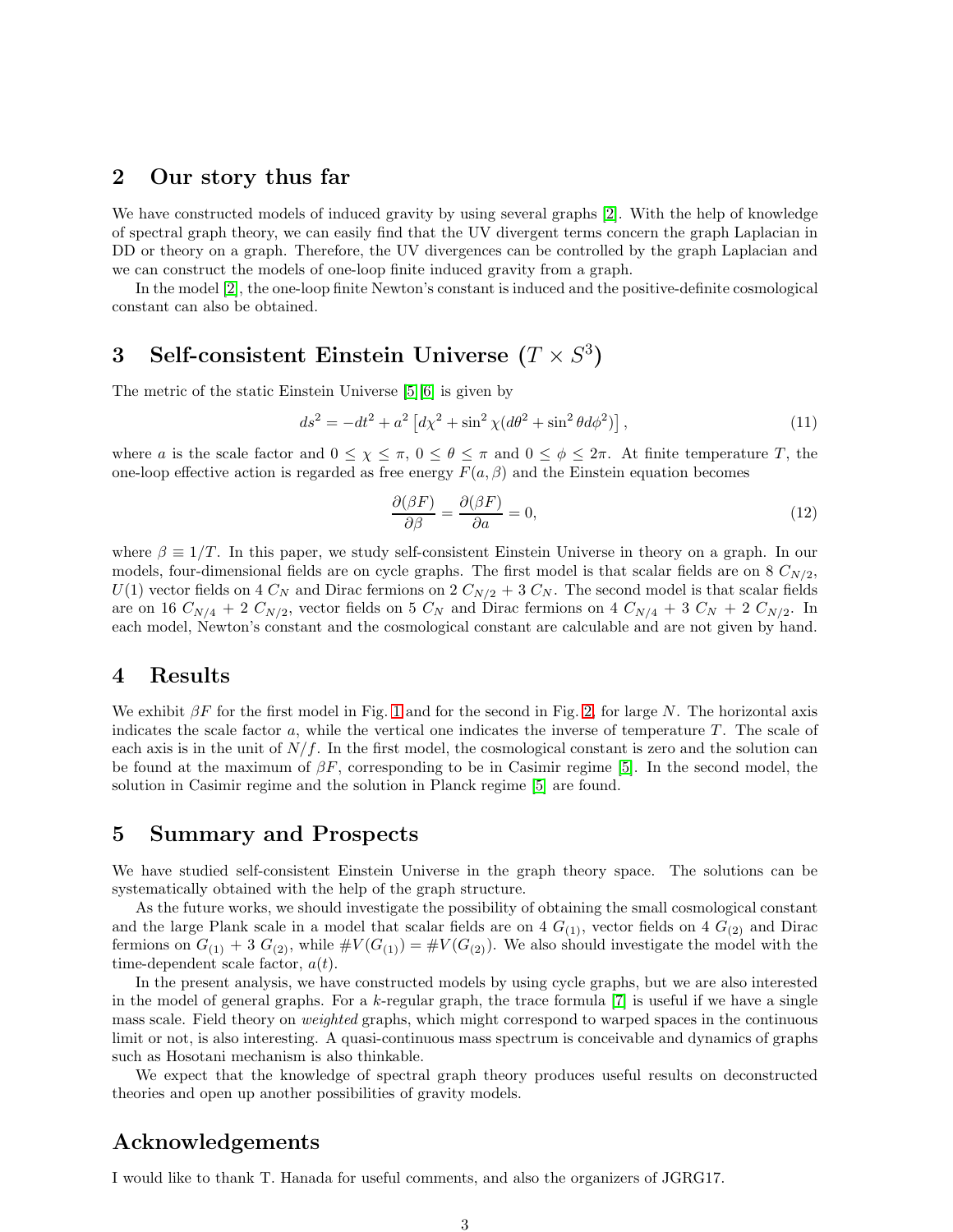## 2 Our story thus far

We have constructed models of induced gravity by using several graphs [\[2\]](#page-3-1). With the help of knowledge of spectral graph theory, we can easily find that the UV divergent terms concern the graph Laplacian in DD or theory on a graph. Therefore, the UV divergences can be controlled by the graph Laplacian and we can construct the models of one-loop finite induced gravity from a graph.

In the model [\[2\]](#page-3-1), the one-loop finite Newton's constant is induced and the positive-definite cosmological constant can also be obtained.

# 3 Self-consistent Einstein Universe  $(T \times S^3)$

The metric of the static Einstein Universe [\[5\]](#page-3-4)[\[6\]](#page-3-5) is given by

$$
ds^{2} = -dt^{2} + a^{2} \left[ d\chi^{2} + \sin^{2} \chi (d\theta^{2} + \sin^{2} \theta d\phi^{2}) \right],
$$
\n(11)

where a is the scale factor and  $0 \leq \chi \leq \pi$ ,  $0 \leq \theta \leq \pi$  and  $0 \leq \phi \leq 2\pi$ . At finite temperature T, the one-loop effective action is regarded as free energy  $F(a, \beta)$  and the Einstein equation becomes

$$
\frac{\partial(\beta F)}{\partial \beta} = \frac{\partial(\beta F)}{\partial a} = 0,\tag{12}
$$

where  $\beta \equiv 1/T$ . In this paper, we study self-consistent Einstein Universe in theory on a graph. In our models, four-dimensional fields are on cycle graphs. The first model is that scalar fields are on 8  $C_{N/2}$ ,  $U(1)$  vector fields on 4  $C_N$  and Dirac fermions on 2  $C_{N/2}$  + 3  $C_N$ . The second model is that scalar fields are on 16  $C_{N/4}$  + 2  $C_{N/2}$ , vector fields on 5  $C_N$  and Dirac fermions on 4  $C_{N/4}$  + 3  $C_N$  + 2  $C_{N/2}$ . In each model, Newton's constant and the cosmological constant are calculable and are not given by hand.

## 4 Results

We exhibit  $\beta F$  for the first model in Fig. [1](#page-3-6) and for the second in Fig. [2,](#page-3-7) for large N. The horizontal axis indicates the scale factor a, while the vertical one indicates the inverse of temperature  $T$ . The scale of each axis is in the unit of  $N/f$ . In the first model, the cosmological constant is zero and the solution can be found at the maximum of  $\beta F$ , corresponding to be in Casimir regime [\[5\]](#page-3-4). In the second model, the solution in Casimir regime and the solution in Planck regime [\[5\]](#page-3-4) are found.

# 5 Summary and Prospects

We have studied self-consistent Einstein Universe in the graph theory space. The solutions can be systematically obtained with the help of the graph structure.

As the future works, we should investigate the possibility of obtaining the small cosmological constant and the large Plank scale in a model that scalar fields are on 4  $G_{(1)}$ , vector fields on 4  $G_{(2)}$  and Dirac fermions on  $G_{(1)} + 3 G_{(2)}$ , while  $\#V(G_{(1)}) = \#V(G_{(2)})$ . We also should investigate the model with the time-dependent scale factor,  $a(t)$ .

In the present analysis, we have constructed models by using cycle graphs, but we are also interested in the model of general graphs. For a  $k$ -regular graph, the trace formula  $[7]$  is useful if we have a single mass scale. Field theory on weighted graphs, which might correspond to warped spaces in the continuous limit or not, is also interesting. A quasi-continuous mass spectrum is conceivable and dynamics of graphs such as Hosotani mechanism is also thinkable.

We expect that the knowledge of spectral graph theory produces useful results on deconstructed theories and open up another possibilities of gravity models.

# Acknowledgements

I would like to thank T. Hanada for useful comments, and also the organizers of JGRG17.